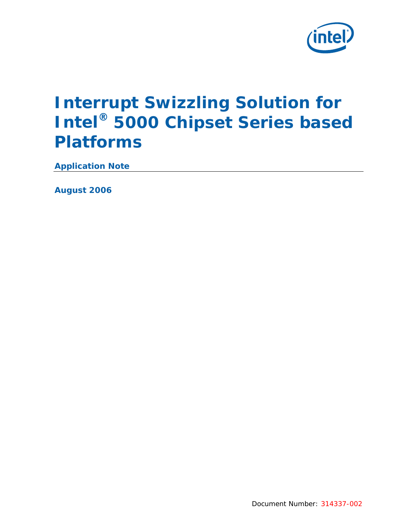

# **Interrupt Swizzling Solution for Intel® 5000 Chipset Series based Platforms**

**Application Note** 

*August 2006*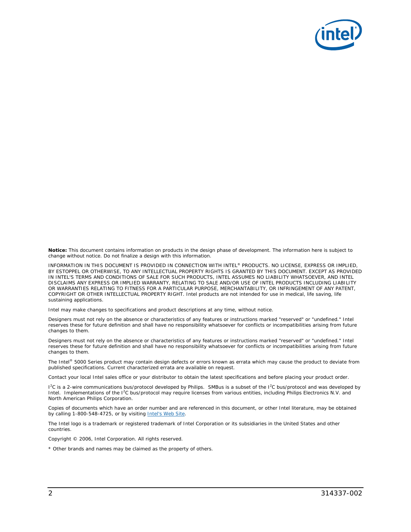

**Notice:** This document contains information on products in the design phase of development. The information here is subject to change without notice. Do not finalize a design with this information.

INFORMATION IN THIS DOCUMENT IS PROVIDED IN CONNECTION WITH INTEL® PRODUCTS. NO LICENSE, EXPRESS OR IMPLIED, BY ESTOPPEL OR OTHERWISE, TO ANY INTELLECTUAL PROPERTY RIGHTS IS GRANTED BY THIS DOCUMENT. EXCEPT AS PROVIDED IN INTEL'S TERMS AND CONDITIONS OF SALE FOR SUCH PRODUCTS, INTEL ASSUMES NO LIABILITY WHATSOEVER, AND INTEL DISCLAIMS ANY EXPRESS OR IMPLIED WARRANTY, RELATING TO SALE AND/OR USE OF INTEL PRODUCTS INCLUDING LIABILITY OR WARRANTIES RELATING TO FITNESS FOR A PARTICULAR PURPOSE, MERCHANTABILITY, OR INFRINGEMENT OF ANY PATENT, COPYRIGHT OR OTHER INTELLECTUAL PROPERTY RIGHT. Intel products are not intended for use in medical, life saving, life sustaining applications.

Intel may make changes to specifications and product descriptions at any time, without notice.

Designers must not rely on the absence or characteristics of any features or instructions marked "reserved" or "undefined." Intel reserves these for future definition and shall have no responsibility whatsoever for conflicts or incompatibilities arising from future changes to them.

Designers must not rely on the absence or characteristics of any features or instructions marked "reserved" or "undefined." Intel reserves these for future definition and shall have no responsibility whatsoever for conflicts or incompatibilities arising from future changes to them.

The Intel® 5000 Series product may contain design defects or errors known as errata which may cause the product to deviate from published specifications. Current characterized errata are available on request.

Contact your local Intel sales office or your distributor to obtain the latest specifications and before placing your product order.

 $1^2C$  is a 2-wire communications bus/protocol developed by Philips. SMBus is a subset of the  $1^2C$  bus/protocol and was developed by Intel. Implementations of the  $1<sup>2</sup>C$  bus/protocol may require licenses from various entities, including Philips Electronics N.V. and North American Philips Corporation.

Copies of documents which have an order number and are referenced in this document, or other Intel literature, may be obtained by calling 1-800-548-4725, or by visiting [Intel's Web Site](http://www.intel.com/).

The Intel logo is a trademark or registered trademark of Intel Corporation or its subsidiaries in the United States and other countries.

Copyright © 2006, Intel Corporation. All rights reserved.

\* Other brands and names may be claimed as the property of others.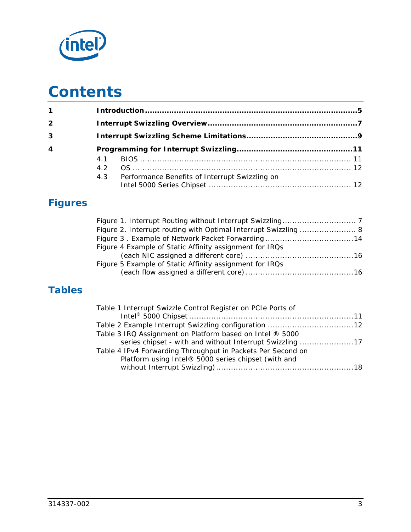

## *Contents*

| $\mathbf{1}$     |     |                                                |  |  |  |  |
|------------------|-----|------------------------------------------------|--|--|--|--|
| $\mathbf{2}$     |     |                                                |  |  |  |  |
| 3                |     |                                                |  |  |  |  |
| $\boldsymbol{4}$ |     |                                                |  |  |  |  |
|                  | 4.1 |                                                |  |  |  |  |
|                  | 4.2 |                                                |  |  |  |  |
|                  | 4.3 | Performance Benefits of Interrupt Swizzling on |  |  |  |  |

## **Figures**

| Figure 2. Interrupt routing with Optimal Interrupt Swizzling  8 |  |
|-----------------------------------------------------------------|--|
| Figure 3. Example of Network Packet Forwarding14                |  |
| Figure 4 Example of Static Affinity assignment for IRQs         |  |
|                                                                 |  |
| Figure 5 Example of Static Affinity assignment for IRQs         |  |
|                                                                 |  |

## **Tables**

| Table 1 Interrupt Swizzle Control Register on PCIe Ports of |  |
|-------------------------------------------------------------|--|
|                                                             |  |
|                                                             |  |
| Table 3 IRQ Assignment on Platform based on Intel ® 5000    |  |
| series chipset - with and without Interrupt Swizzling 17    |  |
| Table 4 IPv4 Forwarding Throughput in Packets Per Second on |  |
| Platform using Intel® 5000 series chipset (with and         |  |
|                                                             |  |
|                                                             |  |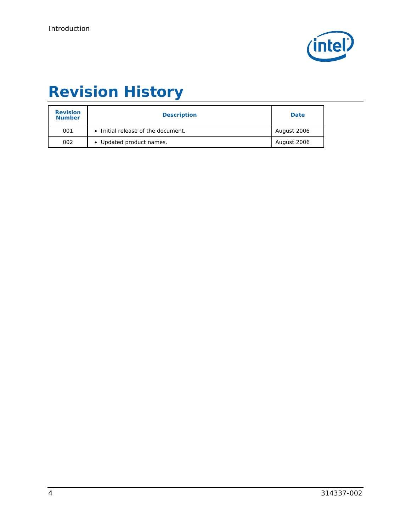

## *Revision History*

| <b>Revision</b><br><b>Number</b> | <b>Description</b>                 | <b>Date</b> |  |  |
|----------------------------------|------------------------------------|-------------|--|--|
| 001                              | • Initial release of the document. | August 2006 |  |  |
| 002                              | • Updated product names.           | August 2006 |  |  |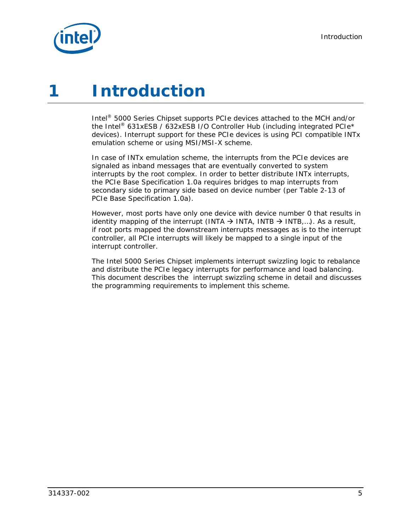<span id="page-4-0"></span>

# **1** *Introduction*

Intel® 5000 Series Chipset supports PCIe devices attached to the MCH and/or the Intel® 631xESB / 632xESB I/O Controller Hub (including integrated PCIe\* devices). Interrupt support for these PCIe devices is using PCI compatible INTx emulation scheme or using MSI/MSI-X scheme.

In case of INTx emulation scheme, the interrupts from the PCIe devices are signaled as inband messages that are eventually converted to system interrupts by the root complex. In order to better distribute INTx interrupts, the PCIe Base Specification 1.0a requires bridges to map interrupts from secondary side to primary side based on device number (per Table 2-13 of PCIe Base Specification 1.0a).

However, most ports have only one device with device number 0 that results in identity mapping of the interrupt (INTA  $\rightarrow$  INTA, INTB  $\rightarrow$  INTB,...). As a result, if root ports mapped the downstream interrupts messages as is to the interrupt controller, all PCIe interrupts will likely be mapped to a single input of the interrupt controller.

The Intel 5000 Series Chipset implements interrupt swizzling logic to rebalance and distribute the PCIe legacy interrupts for performance and load balancing. This document describes the interrupt swizzling scheme in detail and discusses the programming requirements to implement this scheme.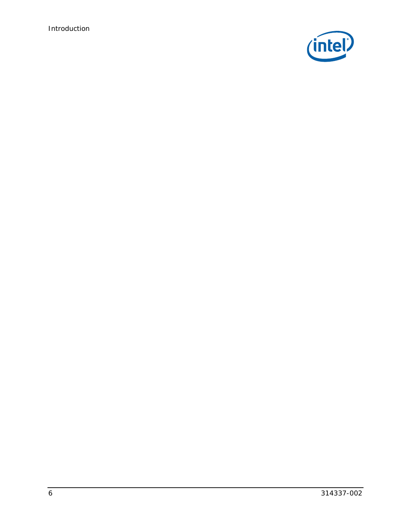*Introduction* 

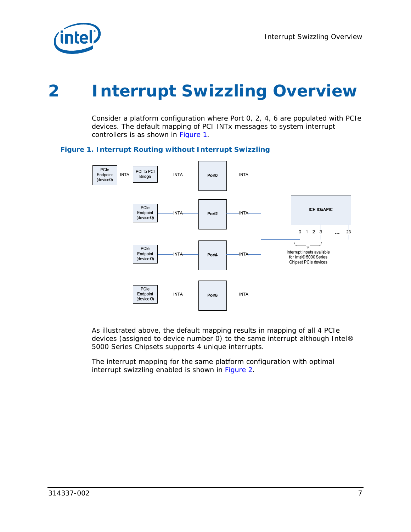<span id="page-6-0"></span>

# **2** *Interrupt Swizzling Overview*

Consider a platform configuration where Port 0, 2, 4, 6 are populated with PCIe devices. The default mapping of PCI INTx messages to system interrupt controllers is as shown in [Figure 1.](#page-6-0)

### **Figure 1. Interrupt Routing without Interrupt Swizzling**



As illustrated above, the default mapping results in mapping of all 4 PCIe devices (assigned to device number 0) to the same interrupt although Intel® 5000 Series Chipsets supports 4 unique interrupts.

The interrupt mapping for the same platform configuration with optimal interrupt swizzling enabled is shown in [Figure 2](#page-7-0).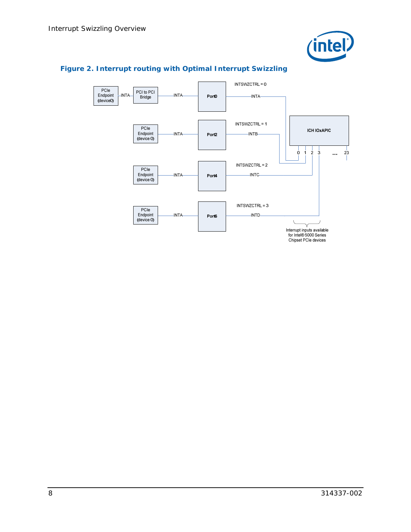

### <span id="page-7-0"></span>**Figure 2. Interrupt routing with Optimal Interrupt Swizzling**

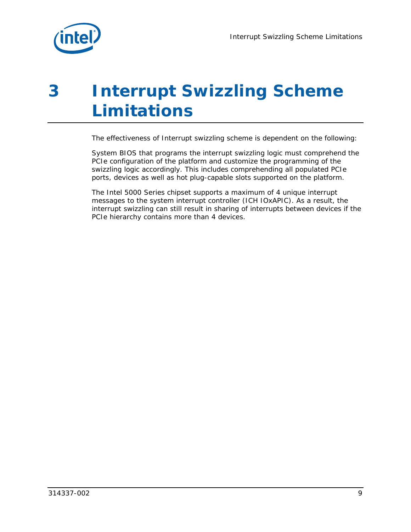<span id="page-8-0"></span>

# **3** *Interrupt Swizzling Scheme Limitations*

The effectiveness of Interrupt swizzling scheme is dependent on the following:

System BIOS that programs the interrupt swizzling logic must comprehend the PCIe configuration of the platform and customize the programming of the swizzling logic accordingly. This includes comprehending all populated PCIe ports, devices as well as hot plug-capable slots supported on the platform.

The Intel 5000 Series chipset supports a maximum of 4 unique interrupt messages to the system interrupt controller (ICH IOxAPIC). As a result, the interrupt swizzling can still result in sharing of interrupts between devices if the PCIe hierarchy contains more than 4 devices.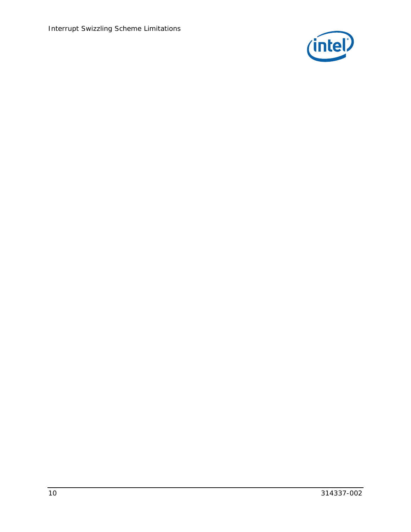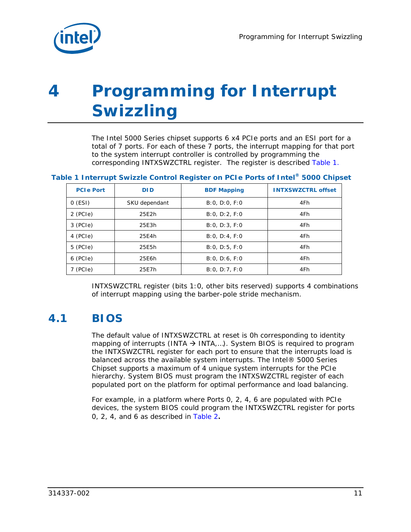<span id="page-10-0"></span>

# **4** *Programming for Interrupt Swizzling*

The Intel 5000 Series chipset supports 6 x4 PCIe ports and an ESI port for a total of 7 ports. For each of these 7 ports, the interrupt mapping for that port to the system interrupt controller is controlled by programming the corresponding INTXSWZCTRL register. The register is described [Table 1](#page-10-0).

**Table 1 Interrupt Swizzle Control Register on PCIe Ports of Intel® 5000 Chipset** 

| <b>PCIe Port</b> | <b>DID</b>    | <b>BDF Mapping</b> | <b>INTXSWZCTRL offset</b> |
|------------------|---------------|--------------------|---------------------------|
| $0$ (ESI)        | SKU dependant | B:0, D:0, F:0      | 4Fh                       |
| 2 (PCIe)         | 25E2h         | B:0, D:2, F:0      | 4Fh                       |
| 3 (PCIe)         | 25E3h         | B:0, D:3, F:0      | 4Fh                       |
| 4 (PCIe)         | 25E4h         | B:0, D:4, F:0      | 4Fh                       |
| 5 (PCIe)         | 25E5h         | B:0, D:5, F:0      | 4Fh                       |
| 6 (PCIe)         | 25E6h         | B:0, D:6, F:0      | 4Fh                       |
| 7 (PCIe)         | 25E7h         | B:0, D:7, F:0      | 4Fh                       |

INTXSWZCTRL register (bits 1:0, other bits reserved) supports 4 combinations of interrupt mapping using the barber-pole stride mechanism.

## **4.1 BIOS**

The default value of INTXSWZCTRL at reset is 0h corresponding to identity mapping of interrupts (INTA  $\rightarrow$  INTA,...). System BIOS is required to program the INTXSWZCTRL register for each port to ensure that the interrupts load is balanced across the available system interrupts. The Intel® 5000 Series Chipset supports a maximum of 4 unique system interrupts for the PCIe hierarchy. System BIOS must program the INTXSWZCTRL register of each populated port on the platform for optimal performance and load balancing.

For example, in a platform where Ports 0, 2, 4, 6 are populated with PCIe devices, the system BIOS could program the INTXSWZCTRL register for ports 0, 2, 4, and 6 as described in [Table 2](#page-11-0)**.**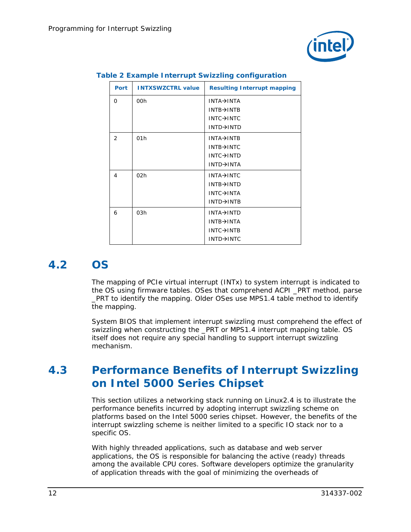

| Port           | <b>INTXSWZCTRL value</b> | <b>Resulting Interrupt mapping</b> |
|----------------|--------------------------|------------------------------------|
| 0              | 00h                      | <b>INTA-&gt;INTA</b>               |
|                |                          | <b>INTB→INTB</b>                   |
|                |                          | <b>INTC→INTC</b>                   |
|                |                          | <b>INTD→INTD</b>                   |
| $\overline{2}$ | 01h                      | <b>INTA→INTB</b>                   |
|                |                          | INTB->INTC                         |
|                |                          | INTC->INTD                         |
|                |                          | <b>INTD→INTA</b>                   |
| 4              | 02h                      | <b>INTA→INTC</b>                   |
|                |                          | INTB->INTD                         |
|                |                          | <b>INTC→INTA</b>                   |
|                |                          | INTD->INTB                         |
| 6              | 03h                      | <b>INTA→INTD</b>                   |
|                |                          | <b>INTB→INTA</b>                   |
|                |                          | <b>INTC→INTB</b>                   |
|                |                          | <b>INTD→INTC</b>                   |

### <span id="page-11-0"></span>**Table 2 Example Interrupt Swizzling configuration**

## **4.2 OS**

The mapping of PCIe virtual interrupt (INTx) to system interrupt is indicated to the OS using firmware tables. OSes that comprehend ACPI \_PRT method, parse \_PRT to identify the mapping. Older OSes use MPS1.4 table method to identify the mapping.

System BIOS that implement interrupt swizzling must comprehend the effect of swizzling when constructing the \_PRT or MPS1.4 interrupt mapping table. OS itself does not require any special handling to support interrupt swizzling mechanism.

## **4.3 Performance Benefits of Interrupt Swizzling on Intel 5000 Series Chipset**

This section utilizes a networking stack running on Linux2.4 is to illustrate the performance benefits incurred by adopting interrupt swizzling scheme on platforms based on the Intel 5000 series chipset. However, the benefits of the interrupt swizzling scheme is neither limited to a specific IO stack nor to a specific OS.

With highly threaded applications, such as database and web server applications, the OS is responsible for balancing the active (ready) threads among the available CPU cores. Software developers optimize the granularity of application threads with the goal of minimizing the overheads of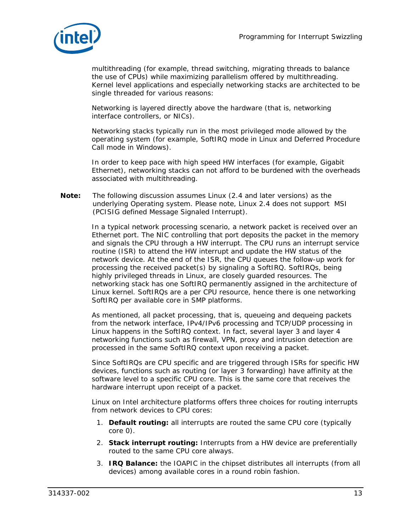

multithreading (for example, thread switching, migrating threads to balance the use of CPUs) while maximizing parallelism offered by multithreading. Kernel level applications and especially networking stacks are architected to be single threaded for various reasons:

Networking is layered directly above the hardware (that is, networking interface controllers, or NICs).

Networking stacks typically run in the most privileged mode allowed by the operating system (for example, SoftIRQ mode in Linux and Deferred Procedure Call mode in Windows).

In order to keep pace with high speed HW interfaces (for example, Gigabit Ethernet), networking stacks can not afford to be burdened with the overheads associated with multithreading.

*Note:* The following discussion assumes Linux (2.4 and later versions) as the underlying Operating system. Please note, Linux 2.4 does not support MSI (PCISIG defined Message Signaled Interrupt).

> In a typical network processing scenario, a network packet is received over an Ethernet port. The NIC controlling that port deposits the packet in the memory and signals the CPU through a HW interrupt. The CPU runs an interrupt service routine (ISR) to attend the HW interrupt and update the HW status of the network device. At the end of the ISR, the CPU queues the follow-up work for processing the received packet(s) by signaling a SoftIRQ. SoftIRQs, being highly privileged threads in Linux, are closely guarded resources. The networking stack has one SoftIRQ permanently assigned in the architecture of Linux kernel. SoftIRQs are a per CPU resource, hence there is one networking SoftIRQ per available core in SMP platforms.

As mentioned, all packet processing, that is, queueing and dequeing packets from the network interface, IPv4/IPv6 processing and TCP/UDP processing in Linux happens in the SoftIRQ context. In fact, several layer 3 and layer 4 networking functions such as firewall, VPN, proxy and intrusion detection are processed in the same SoftIRQ context upon receiving a packet.

Since SoftIRQs are CPU specific and are triggered through ISRs for specific HW devices, functions such as routing (or layer 3 forwarding) have affinity at the software level to a specific CPU core. This is the same core that receives the hardware interrupt upon receipt of a packet.

Linux on Intel architecture platforms offers three choices for routing interrupts from network devices to CPU cores:

- 1. *Default routing***:** all interrupts are routed the same CPU core (typically core 0).
- 2. *Stack interrupt routing***:** Interrupts from a HW device are preferentially routed to the same CPU core always.
- 3. *IRQ Balance***:** the IOAPIC in the chipset distributes all interrupts (from all devices) among available cores in a round robin fashion.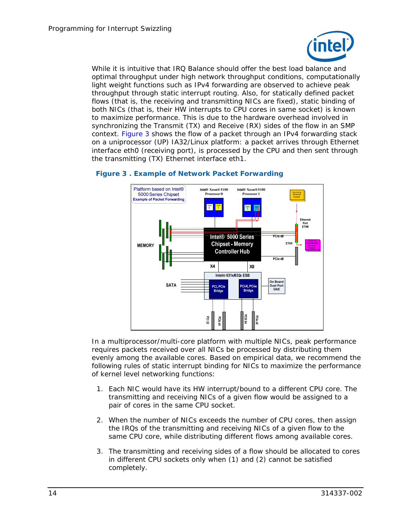

<span id="page-13-0"></span>While it is intuitive that IRQ Balance should offer the best load balance and optimal throughput under high network throughput conditions, computationally light weight functions such as IPv4 forwarding are observed to achieve peak throughput through static interrupt routing. Also, for statically defined packet flows (that is, the receiving and transmitting NICs are fixed), static binding of both NICs (that is, their HW interrupts to CPU cores in same socket) is known to maximize performance. This is due to the hardware overhead involved in synchronizing the Transmit (TX) and Receive (RX) sides of the flow in an SMP context. [Figure 3](#page-13-0) shows the flow of a packet through an IPv4 forwarding stack on a uniprocessor (UP) IA32/Linux platform: a packet arrives through Ethernet interface eth0 (receiving port), is processed by the CPU and then sent through the transmitting (TX) Ethernet interface eth1.



### **Figure 3 . Example of Network Packet Forwarding**

In a multiprocessor/multi-core platform with multiple NICs, peak performance requires packets received over all NICs be processed by distributing them evenly among the available cores. Based on empirical data, we recommend the following rules of static interrupt binding for NICs to maximize the performance of kernel level networking functions:

- 1. Each NIC would have its HW interrupt/bound to a different CPU core. The transmitting and receiving NICs of a given flow would be assigned to a pair of cores in the same CPU socket.
- 2. When the number of NICs exceeds the number of CPU cores, then assign the IRQs of the transmitting and receiving NICs of a given flow to the same CPU core, while distributing different flows among available cores.
- 3. The transmitting and receiving sides of a flow should be allocated to cores in different CPU sockets only when (1) and (2) cannot be satisfied completely.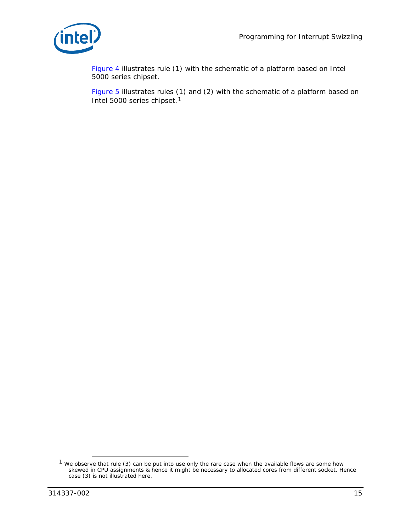

[Figure 4](#page-15-0) illustrates rule (1) with the schematic of a platform based on Intel 5000 series chipset.

[Figure 5](#page-15-0) illustrates rules (1) and (2) with the schematic of a platform based on Intel 5000 series chipset.[1](#page-14-0)

<span id="page-14-0"></span> $1$  We observe that rule (3) can be put into use only the rare case when the available flows are some how skewed in CPU assignments & hence it might be necessary to allocated cores from different socket. Hence case (3) is not illustrated here.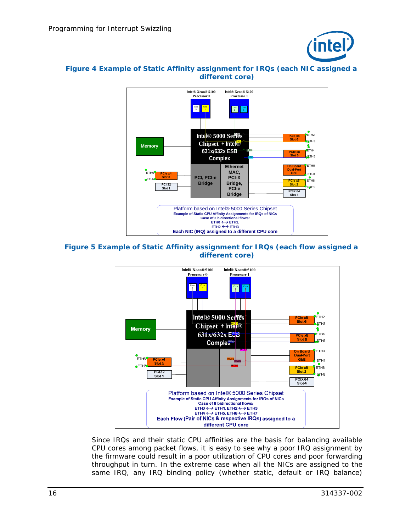

### <span id="page-15-0"></span>**Figure 4 Example of Static Affinity assignment for IRQs (each NIC assigned a different core)**



### **Figure 5 Example of Static Affinity assignment for IRQs (each flow assigned a different core)**



Since IRQs and their static CPU affinities are the basis for balancing available CPU cores among packet flows, it is easy to see why a poor IRQ assignment by the firmware could result in a poor utilization of CPU cores and poor forwarding throughput in turn. In the extreme case when all the NICs are assigned to the same IRQ, any IRQ binding policy (whether static, default or IRQ balance)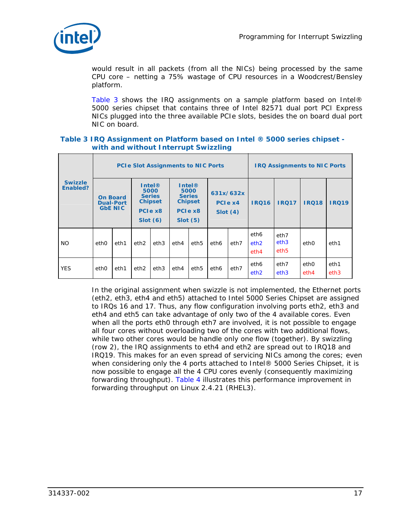<span id="page-16-0"></span>

would result in all packets (from all the NICs) being processed by the same CPU core – netting a 75% wastage of CPU resources in a Woodcrest/Bensley platform.

[Table 3](#page-16-0) shows the IRQ assignments on a sample platform based on Intel® 5000 series chipset that contains three of Intel 82571 dual port PCI Express NICs plugged into the three available PCIe slots, besides the on board dual port NIC on board.

| Table 3 IRQ Assignment on Platform based on Intel ® 5000 series chipset - |  |
|---------------------------------------------------------------------------|--|
| with and without Interrupt Swizzling                                      |  |

| <b>Swizzle</b><br>Enabled? | <b>PCIe Slot Assignments to NIC Ports</b>             |      |                                                                                                                                                                                          |      |      |                                    |              |              |                                  | <b>IRQ Assignments to NIC Ports</b> |                  |                          |  |
|----------------------------|-------------------------------------------------------|------|------------------------------------------------------------------------------------------------------------------------------------------------------------------------------------------|------|------|------------------------------------|--------------|--------------|----------------------------------|-------------------------------------|------------------|--------------------------|--|
|                            | <b>On Board</b><br><b>Dual-Port</b><br><b>GbE NIC</b> |      | <b>Intel®</b><br><b>Intel®</b><br>5000<br>5000<br><b>Series</b><br><b>Series</b><br><b>Chipset</b><br><b>Chipset</b><br>PCI <sub>e</sub> x <sub>8</sub><br>PCIe x8<br>Slot(6)<br>Slot(5) |      |      | 631x/632x<br>PCIe x4<br>Slot $(4)$ |              | <b>IRQ16</b> | <b>IRQ17</b>                     | <b>IRQ18</b>                        | <b>IRQ19</b>     |                          |  |
| <b>NO</b>                  | eth0                                                  | eth1 | eth <sub>2</sub>                                                                                                                                                                         | eth3 | eth4 | eth5                               | eth6<br>eth7 |              | eth6<br>eth <sub>2</sub><br>eth4 | eth7<br>eth3<br>eth <sub>5</sub>    | eth <sub>0</sub> | eth1                     |  |
| <b>YES</b>                 | eth <sub>0</sub>                                      | eth1 | eth <sub>2</sub>                                                                                                                                                                         | eth3 | eth4 | eth <sub>5</sub>                   | eth7<br>eth6 |              | eth6<br>eth <sub>2</sub>         | eth7<br>eth <sub>3</sub>            | ethO<br>eth4     | eth1<br>eth <sub>3</sub> |  |

In the original assignment when swizzle is not implemented, the Ethernet ports (eth2, eth3, eth4 and eth5) attached to Intel 5000 Series Chipset are assigned to IRQs 16 and 17. Thus, any flow configuration involving ports eth2, eth3 and eth4 and eth5 can take advantage of only two of the 4 available cores. Even when all the ports eth0 through eth7 are involved, it is not possible to engage all four cores without overloading two of the cores with two additional flows, while two other cores would be handle only one flow (together). By swizzling (row 2), the IRQ assignments to eth4 and eth2 are spread out to IRQ18 and IRQ19. This makes for an even spread of servicing NICs among the cores; even when considering only the 4 ports attached to Intel® 5000 Series Chipset, it is now possible to engage all the 4 CPU cores evenly (consequently maximizing forwarding throughput). [Table 4](#page-17-0) illustrates this performance improvement in forwarding throughput on Linux 2.4.21 (RHEL3).